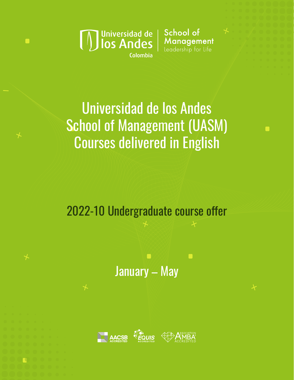

 $\blacksquare$ 

School of **Management**<br>Leadership for Life

Г

# Universidad de los Andes School of Management (UASM) Courses delivered in English

2022-10 Undergraduate course offer

January – May

 $\blacksquare$ 

 $\blacksquare$ 

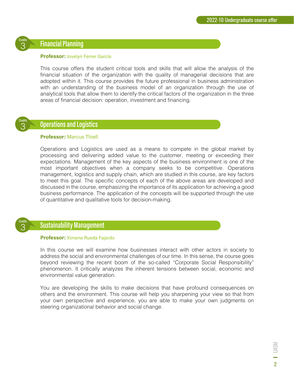## **Financial Planning**

#### **Professor:** Jovelyn Ferrer García

This course offers the student critical tools and skills that will allow the analysis of the financial situation of the organization with the quality of managerial decisions that are adopted within it. This course provides the future professional in business administration with an understanding of the business model of an organization through the use of analytical tools that allow them to identify the critical factors of the organization in the three areas of financial decision: operation, investment and financing.



3 Credits

## **Operations and Logistics**

#### **Professor:** Marcus Thiell

Operations and Logistics are used as a means to compete in the global market by processing and delivering added value to the customer, meeting or exceeding their expectations. Management of the key aspects of the business environment is one of the most important objectives when a company seeks to be competitive. Operations management, logistics and supply chain, which are studied in this course, are key factors to meet this goal. The specific concepts of each of the above areas are developed and discussed in the course, emphasizing the importance of its application for achieving a good business performance. The application of the concepts will be supported through the use of quantitative and qualitative tools for decision-making.



# **Sustainability Management**

#### **Professor:** Ximena Rueda Fajardo

In this course we will examine how businesses interact with other actors in society to address the social and environmental challenges of our time. In this sense, the course goes beyond reviewing the recent boom of the so-called "Corporate Social Responsibility" phenomenon. It critically analyzes the inherent tensions between social, economic and environmental value generation.

You are developing the skills to make decisions that have profound consequences on others and the environment. This course will help you sharpening your view so that from your own perspective and experience, you are able to make your own judgments on steering organizational behavior and social change.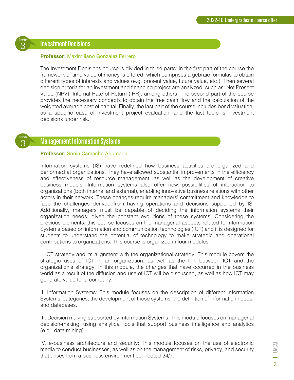## **Investment Decisions**

#### **Professor:** Maximiliano González Ferrero

The Investment Decisions course is divided in three parts: in the first part of the course the framework of time value of money is offered, which comprises algebraic formulas to obtain different types of interests and values (e.g. present value, future value, etc.). Then several decision criteria for an investment and financing project are analyzed, such as: Net Present Value (NPV), Internal Rate of Return (IRR), among others. The second part of the course provides the necessary concepts to obtain the free cash flow and the calculation of the weighted average cost of capital. Finally, the last part of the course includes bond valuation, as a specific case of investment project evaluation, and the last topic is investment decisions under risk.



3 Credits

# **Management Information Systems**

#### **Professor:** Sonia Camacho Ahumada

Information systems (IS) have redefined how business activities are organized and performed at organizations. They have allowed substantial improvements in the efficiency and effectiveness of resource management, as well as the development of creative business models. Information systems also offer new possibilities of interaction to organizations (both internal and external), enabling innovative business relations with other actors in their network. These changes require managers' commitment and knowledge to face the challenges derived from having operations and decisions supported by IS. Additionally, managers must be capable of deciding the information systems their organization needs, given the constant evolutions of these systems. Considering the previous elements, this course focuses on the managerial aspects related to Information Systems based on information and communication technologies (ICT) and it is designed for students to understand the potential of technology to make strategic and operational contributions to organizations. This course is organized in four modules:

I. ICT strategy and its alignment with the organizational strategy: This module covers the strategic uses of ICT in an organization, as well as the link between ICT and the organization's strategy. In this module, the changes that have occurred in the business world as a result of the diffusion and use of ICT will be discussed, as well as how ICT may generate value for a company.

II. Information Systems: This module focuses on the description of different Information Systems' categories, the development of those systems, the definition of information needs, and databases.

III. Decision making supported by Information Systems: This module focuses on managerial decision-making, using analytical tools that support business intelligence and analytics (e.g., data mining).

IV. e-business architecture and security: This module focuses on the use of electronic media to conduct businesses, as well as on the management of risks, privacy, and security that arises from a business environment connected 24/7.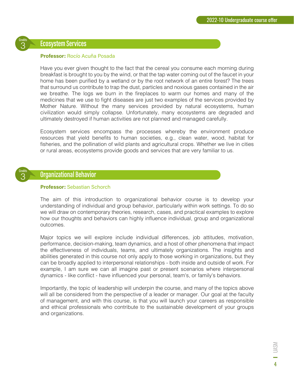# **Ecosystem Services**

3 Credits

3 Credits

#### **Professor:** Rocío Acuña Posada

Have you ever given thought to the fact that the cereal you consume each morning during breakfast is brought to you by the wind, or that the tap water coming out of the faucet in your home has been purified by a wetland or by the root network of an entire forest? The trees that surround us contribute to trap the dust, particles and noxious gases contained in the air we breathe. The logs we burn in the fireplaces to warm our homes and many of the medicines that we use to fight diseases are just two examples of the services provided by Mother Nature. Without the many services provided by natural ecosystems, human civilization would simply collapse. Unfortunately, many ecosystems are degraded and ultimately destroyed if human activities are not planned and managed carefully.

Ecosystem services encompass the processes whereby the environment produce resources that yield benefits to human societies, e.g., clean water, wood, habitat for fisheries, and the pollination of wild plants and agricultural crops. Whether we live in cities or rural areas, ecosystems provide goods and services that are very familiar to us.

# Organizational Behavior

#### **Professor:** Sebastian Schorch

The aim of this introduction to organizational behavior course is to develop your understanding of individual and group behavior, particularly within work settings. To do so we will draw on contemporary theories, research, cases, and practical examples to explore how our thoughts and behaviors can highly influence individual, group and organizational outcomes.

Major topics we will explore include individual differences, job attitudes, motivation, performance, decision-making, team dynamics, and a host of other phenomena that impact the effectiveness of individuals, teams, and ultimately organizations. The insights and abilities generated in this course not only apply to those working in organizations, but they can be broadly applied to interpersonal relationships - both inside and outside of work. For example, I am sure we can all imagine past or present scenarios where interpersonal dynamics - like conflict - have influenced your personal, team's, or family's behaviors.

Importantly, the topic of leadership will underpin the course, and many of the topics above will all be considered from the perspective of a leader or manager. Our goal at the faculty of management, and with this course, is that you will launch your careers as responsible and ethical professionals who contribute to the sustainable development of your groups and organizations.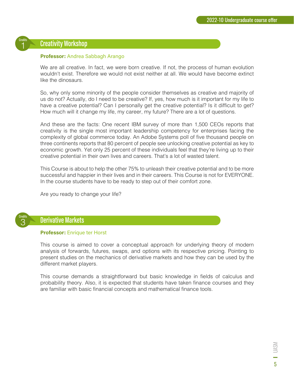# **Creativity Workshop**

#### **Professor:** Andrea Sabbagh Arango

We are all creative. In fact, we were born creative. If not, the process of human evolution wouldn't exist. Therefore we would not exist neither at all. We would have become extinct like the dinosaurs.

So, why only some minority of the people consider themselves as creative and majority of us do not? Actually, do I need to be creative? If, yes, how much is it important for my life to have a creative potential? Can I personally get the creative potential? Is it difficult to get? How much will it change my life, my career, my future? There are a lot of questions.

And these are the facts: One recent IBM survey of more than 1,500 CEOs reports that creativity is the single most important leadership competency for enterprises facing the complexity of global commerce today. An Adobe Systems poll of five thousand people on three continents reports that 80 percent of people see unlocking creative potential as key to economic growth. Yet only 25 percent of these individuals feel that they're living up to their creative potential in their own lives and careers. That's a lot of wasted talent.

This Course is about to help the other 75% to unleash their creative potential and to be more successful and happier in their lives and in their careers. This Course is not for EVERYONE. In the course students have to be ready to step out of their comfort zone.

Are you ready to change your life?



1 Credits

## **Derivative Markets**

#### **Professor:** Enrique ter Horst

This course is aimed to cover a conceptual approach for underlying theory of modern analysis of forwards, futures, swaps, and options with its respective pricing. Pointing to present studies on the mechanics of derivative markets and how they can be used by the different market players.

This course demands a straightforward but basic knowledge in fields of calculus and probability theory. Also, it is expected that students have taken finance courses and they are familiar with basic financial concepts and mathematical finance tools.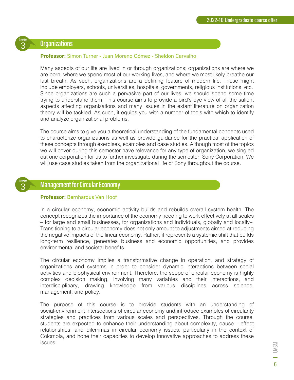# **Organizations**

3 Credits

3 Credits

#### **Professor:** Simon Turner - Juan Moreno Gómez - Sheldon Carvalho

Many aspects of our life are lived in or through organizations; organizations are where we are born, where we spend most of our working lives, and where we most likely breathe our last breath. As such, organizations are a defining feature of modern life. These might include employers, schools, universities, hospitals, governments, religious institutions, etc. Since organizations are such a pervasive part of our lives, we should spend some time trying to understand them! This course aims to provide a bird's eye view of all the salient aspects affecting organizations and many issues in the extant literature on organization theory will be tackled. As such, it equips you with a number of tools with which to identify and analyze organizational problems.

The course aims to give you a theoretical understanding of the fundamental concepts used to characterize organizations as well as provide guidance for the practical application of these concepts through exercises, examples and case studies. Although most of the topics we will cover during this semester have relevance for any type of organization, we singled out one corporation for us to further investigate during the semester: Sony Corporation. We will use case studies taken from the organizational life of Sony throughout the course.

# **Management for Circular Economy**

#### **Professor:** Bernhardus Van Hoof

In a circular economy, economic activity builds and rebuilds overall system health. The concept recognizes the importance of the economy needing to work effectively at all scales – for large and small businesses, for organizations and individuals, globally and locally–. Transitioning to a circular economy does not only amount to adjustments aimed at reducing the negative impacts of the linear economy. Rather, it represents a systemic shift that builds long-term resilience, generates business and economic opportunities, and provides environmental and societal benefits.

The circular economy implies a transformative change in operation, and strategy of organizations and systems in order to consider dynamic interactions between social activities and biophysical environment. Therefore, the scope of circular economy is highly complex decision making, involving many variables and their interactions, and interdisciplinary, drawing knowledge from various disciplines across science, management, and policy.

The purpose of this course is to provide students with an understanding of social-environment intersections of circular economy and introduce examples of circularity strategies and practices from various scales and perspectives. Through the course, students are expected to enhance their understanding about complexity, cause – effect relationships, and dilemmas in circular economy issues, particularly in the context of Colombia, and hone their capacities to develop innovative approaches to address these issues.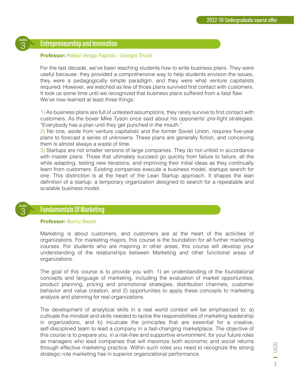

## **Entrepreneurship and Innovation**

#### **Professor:** Rafael Vesga Fajardo - Giorgio Triulzi

For the last decade, we've been teaching students how to write business plans. They were useful because: they provided a comprehensive way to help students envision the issues, they were a pedagogically simple paradigm, and they were what venture capitalists required. However, we watched as few of those plans survived first contact with customers. It took us some time until we recognized that business plans suffered from a fatal flaw. We've now learned at least three things:

1) As business plans are full of untested assumptions, they rarely survive to first contact with customers. As the boxer Mike Tyson once said about his opponents' pre-fight strategies: "Everybody has a plan until they get punched in the mouth."

2) No one, aside from venture capitalists and the former Soviet Union, requires five-year plans to forecast a series of unknowns. These plans are generally fiction, and conceiving them is almost always a waste of time.

3) Startups are not smaller versions of large companies. They do not unfold in accordance with master plans. Those that ultimately succeed go quickly from failure to failure, all the while adapting, testing new iterations, and improving their initial ideas as they continually learn from customers. Existing companies execute a business model, startups search for one. This distinction is at the heart of the Lean Startup approach. It shapes the lean definition of a startup: a temporary organization designed to search for a repeatable and scalable business model.



## **Fundamentals Of Marketing**

#### **Professor:** Burcu Sezen

Marketing is about customers, and customers are at the heart of the activities of organizations. For marketing majors, this course is the foundation for all further marketing courses. For students who are majoring in other areas, this course will develop your understanding of the relationships between Marketing and other functional areas of organizations.

The goal of this course is to provide you with: 1) an understanding of the foundational concepts and language of marketing, including the evaluation of market opportunities, product planning, pricing and promotional strategies, distribution channels, customer behavior and value creation, and 2) opportunities to apply these concepts to marketing analysis and planning for real organizations.

The development of analytical skills in a real world context will be emphasized to: a) cultivate the mindset and skills needed to tackle the responsibilities of marketing leadership in organizations, and b) inculcate the principles that are essential for a creative, self-disciplined team to lead a company in a fast-changing marketplace. The objective of this course is to prepare you, in a risk-free and supportive environment, for your future roles as managers who lead companies that will maximize both economic and social returns through effective marketing practice. Within such roles you need to recognize the strong strategic role marketing has in superior organizational performance.